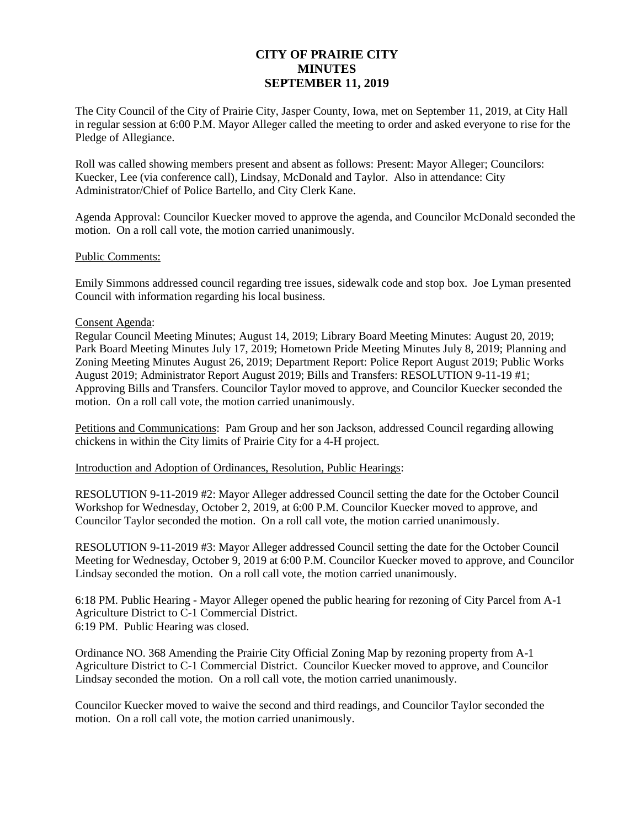# **CITY OF PRAIRIE CITY MINUTES SEPTEMBER 11, 2019**

The City Council of the City of Prairie City, Jasper County, Iowa, met on September 11, 2019, at City Hall in regular session at 6:00 P.M. Mayor Alleger called the meeting to order and asked everyone to rise for the Pledge of Allegiance.

Roll was called showing members present and absent as follows: Present: Mayor Alleger; Councilors: Kuecker, Lee (via conference call), Lindsay, McDonald and Taylor. Also in attendance: City Administrator/Chief of Police Bartello, and City Clerk Kane.

Agenda Approval: Councilor Kuecker moved to approve the agenda, and Councilor McDonald seconded the motion. On a roll call vote, the motion carried unanimously.

#### Public Comments:

Emily Simmons addressed council regarding tree issues, sidewalk code and stop box. Joe Lyman presented Council with information regarding his local business.

#### Consent Agenda:

Regular Council Meeting Minutes; August 14, 2019; Library Board Meeting Minutes: August 20, 2019; Park Board Meeting Minutes July 17, 2019; Hometown Pride Meeting Minutes July 8, 2019; Planning and Zoning Meeting Minutes August 26, 2019; Department Report: Police Report August 2019; Public Works August 2019; Administrator Report August 2019; Bills and Transfers: RESOLUTION 9-11-19 #1; Approving Bills and Transfers. Councilor Taylor moved to approve, and Councilor Kuecker seconded the motion. On a roll call vote, the motion carried unanimously.

Petitions and Communications: Pam Group and her son Jackson, addressed Council regarding allowing chickens in within the City limits of Prairie City for a 4-H project.

Introduction and Adoption of Ordinances, Resolution, Public Hearings:

RESOLUTION 9-11-2019 #2: Mayor Alleger addressed Council setting the date for the October Council Workshop for Wednesday, October 2, 2019, at 6:00 P.M. Councilor Kuecker moved to approve, and Councilor Taylor seconded the motion. On a roll call vote, the motion carried unanimously.

RESOLUTION 9-11-2019 #3: Mayor Alleger addressed Council setting the date for the October Council Meeting for Wednesday, October 9, 2019 at 6:00 P.M. Councilor Kuecker moved to approve, and Councilor Lindsay seconded the motion. On a roll call vote, the motion carried unanimously.

6:18 PM. Public Hearing - Mayor Alleger opened the public hearing for rezoning of City Parcel from A-1 Agriculture District to C-1 Commercial District. 6:19 PM. Public Hearing was closed.

Ordinance NO. 368 Amending the Prairie City Official Zoning Map by rezoning property from A-1 Agriculture District to C-1 Commercial District. Councilor Kuecker moved to approve, and Councilor Lindsay seconded the motion. On a roll call vote, the motion carried unanimously.

Councilor Kuecker moved to waive the second and third readings, and Councilor Taylor seconded the motion. On a roll call vote, the motion carried unanimously.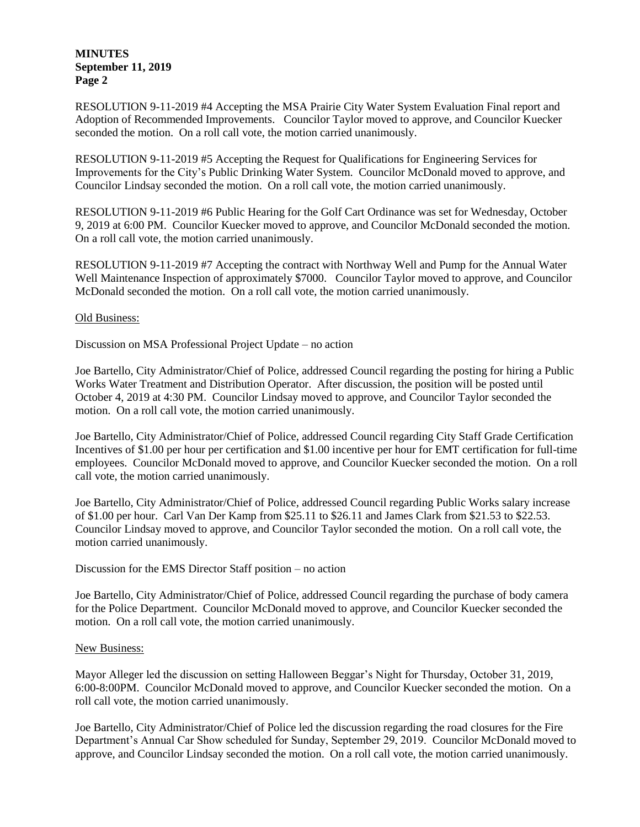### **MINUTES September 11, 2019 Page 2**

RESOLUTION 9-11-2019 #4 Accepting the MSA Prairie City Water System Evaluation Final report and Adoption of Recommended Improvements. Councilor Taylor moved to approve, and Councilor Kuecker seconded the motion. On a roll call vote, the motion carried unanimously.

RESOLUTION 9-11-2019 #5 Accepting the Request for Qualifications for Engineering Services for Improvements for the City's Public Drinking Water System. Councilor McDonald moved to approve, and Councilor Lindsay seconded the motion. On a roll call vote, the motion carried unanimously.

RESOLUTION 9-11-2019 #6 Public Hearing for the Golf Cart Ordinance was set for Wednesday, October 9, 2019 at 6:00 PM. Councilor Kuecker moved to approve, and Councilor McDonald seconded the motion. On a roll call vote, the motion carried unanimously.

RESOLUTION 9-11-2019 #7 Accepting the contract with Northway Well and Pump for the Annual Water Well Maintenance Inspection of approximately \$7000. Councilor Taylor moved to approve, and Councilor McDonald seconded the motion. On a roll call vote, the motion carried unanimously.

#### Old Business:

Discussion on MSA Professional Project Update – no action

Joe Bartello, City Administrator/Chief of Police, addressed Council regarding the posting for hiring a Public Works Water Treatment and Distribution Operator. After discussion, the position will be posted until October 4, 2019 at 4:30 PM. Councilor Lindsay moved to approve, and Councilor Taylor seconded the motion. On a roll call vote, the motion carried unanimously.

Joe Bartello, City Administrator/Chief of Police, addressed Council regarding City Staff Grade Certification Incentives of \$1.00 per hour per certification and \$1.00 incentive per hour for EMT certification for full-time employees. Councilor McDonald moved to approve, and Councilor Kuecker seconded the motion. On a roll call vote, the motion carried unanimously.

Joe Bartello, City Administrator/Chief of Police, addressed Council regarding Public Works salary increase of \$1.00 per hour. Carl Van Der Kamp from \$25.11 to \$26.11 and James Clark from \$21.53 to \$22.53. Councilor Lindsay moved to approve, and Councilor Taylor seconded the motion. On a roll call vote, the motion carried unanimously.

Discussion for the EMS Director Staff position – no action

Joe Bartello, City Administrator/Chief of Police, addressed Council regarding the purchase of body camera for the Police Department. Councilor McDonald moved to approve, and Councilor Kuecker seconded the motion. On a roll call vote, the motion carried unanimously.

#### New Business:

Mayor Alleger led the discussion on setting Halloween Beggar's Night for Thursday, October 31, 2019, 6:00-8:00PM. Councilor McDonald moved to approve, and Councilor Kuecker seconded the motion. On a roll call vote, the motion carried unanimously.

Joe Bartello, City Administrator/Chief of Police led the discussion regarding the road closures for the Fire Department's Annual Car Show scheduled for Sunday, September 29, 2019. Councilor McDonald moved to approve, and Councilor Lindsay seconded the motion. On a roll call vote, the motion carried unanimously.